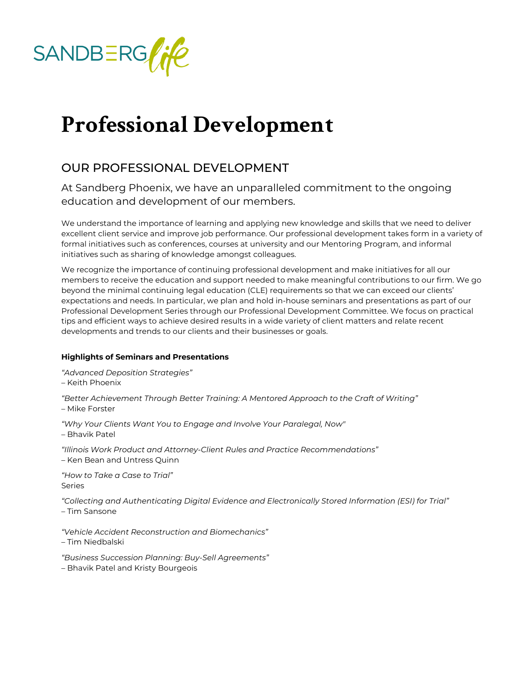

## **Professional Development**

## OUR PROFESSIONAL DEVELOPMENT

At Sandberg Phoenix, we have an unparalleled commitment to the ongoing education and development of our members.

We understand the importance of learning and applying new knowledge and skills that we need to deliver excellent client service and improve job performance. Our professional development takes form in a variety of formal initiatives such as conferences, courses at university and our Mentoring Program, and informal initiatives such as sharing of knowledge amongst colleagues.

We recognize the importance of continuing professional development and make initiatives for all our members to receive the education and support needed to make meaningful contributions to our firm. We go beyond the minimal continuing legal education (CLE) requirements so that we can exceed our clients' expectations and needs. In particular, we plan and hold in-house seminars and presentations as part of our Professional Development Series through our Professional Development Committee. We focus on practical tips and efficient ways to achieve desired results in a wide variety of client matters and relate recent developments and trends to our clients and their businesses or goals.

## **Highlights of Seminars and Presentations**

*"Advanced Deposition Strategies"*

– Keith Phoenix

*"Better Achievement Through Better Training: A Mentored Approach to the Craft of Writing"* – Mike Forster

*"Why Your Clients Want You to Engage and Involve Your Paralegal, Now"* – Bhavik Patel

*"Illinois Work Product and Attorney-Client Rules and Practice Recommendations"*  – Ken Bean and Untress Quinn

*"How to Take a Case to Trial"* 

Series

*"Collecting and Authenticating Digital Evidence and Electronically Stored Information (ESI) for Trial"* – Tim Sansone

*"Vehicle Accident Reconstruction and Biomechanics"* 

– Tim Niedbalski

*"Business Succession Planning: Buy-Sell Agreements"* 

– Bhavik Patel and Kristy Bourgeois